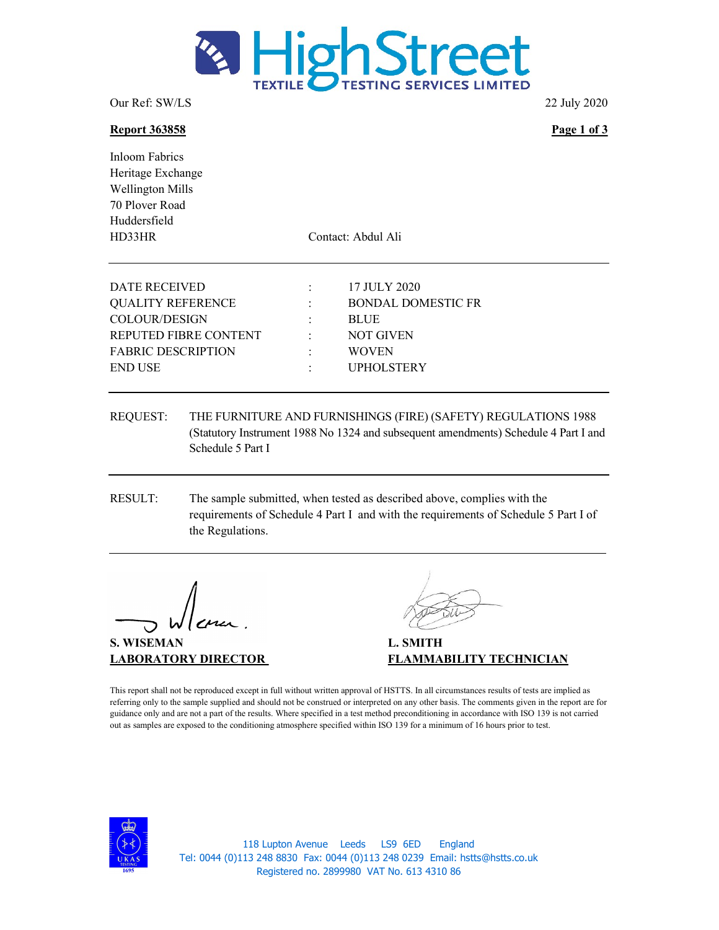

Our Ref: SW/LS 22 July 2020

### Report 363858 Page 1 of 3

Inloom Fabrics Heritage Exchange Wellington Mills 70 Plover Road Huddersfield HD33HR Contact: Abdul Ali

| DATE RECEIVED             |                | 17 JULY 2020              |
|---------------------------|----------------|---------------------------|
| <b>QUALITY REFERENCE</b>  | $\mathbb{R}^n$ | <b>BONDAL DOMESTIC FR</b> |
| COLOUR/DESIGN             |                | <b>BLUE</b>               |
| REPUTED FIBRE CONTENT     | $\sim$         | NOT GIVEN                 |
| <b>FABRIC DESCRIPTION</b> |                | <b>WOVEN</b>              |
| <b>END USE</b>            |                | <b>UPHOLSTERY</b>         |
|                           |                |                           |

- REQUEST: THE FURNITURE AND FURNISHINGS (FIRE) (SAFETY) REGULATIONS 1988 (Statutory Instrument 1988 No 1324 and subsequent amendments) Schedule 4 Part I and Schedule 5 Part I
- RESULT: The sample submitted, when tested as described above, complies with the requirements of Schedule 4 Part I and with the requirements of Schedule 5 Part I of the Regulations.

S. WISEMAN L. SMITH

LABORATORY DIRECTOR FLAMMABILITY TECHNICIAN

This report shall not be reproduced except in full without written approval of HSTTS. In all circumstances results of tests are implied as referring only to the sample supplied and should not be construed or interpreted on any other basis. The comments given in the report are for guidance only and are not a part of the results. Where specified in a test method preconditioning in accordance with ISO 139 is not carried out as samples are exposed to the conditioning atmosphere specified within ISO 139 for a minimum of 16 hours prior to test.



118 Lupton Avenue Leeds LS9 6ED England Tel: 0044 (0)113 248 8830 Fax: 0044 (0)113 248 0239 Email: hstts@hstts.co.uk Registered no. 2899980 VAT No. 613 4310 86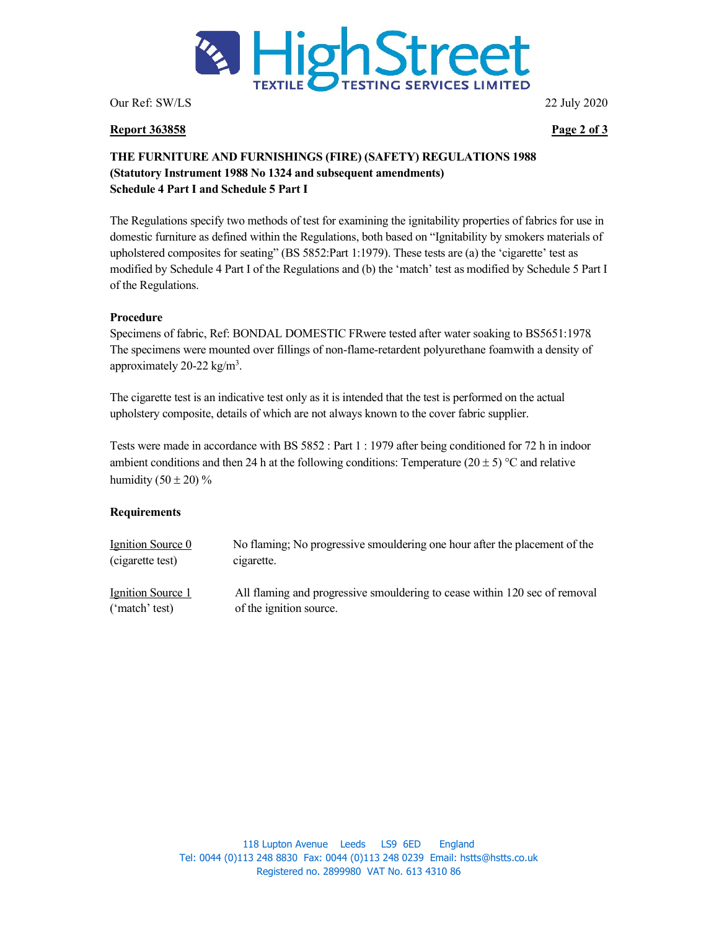

Our Ref: SW/LS 22 July 2020

### Report 363858 Page 2 of 3

# THE FURNITURE AND FURNISHINGS (FIRE) (SAFETY) REGULATIONS 1988 (Statutory Instrument 1988 No 1324 and subsequent amendments) Schedule 4 Part I and Schedule 5 Part I

The Regulations specify two methods of test for examining the ignitability properties of fabrics for use in domestic furniture as defined within the Regulations, both based on "Ignitability by smokers materials of upholstered composites for seating" (BS 5852:Part 1:1979). These tests are (a) the 'cigarette' test as modified by Schedule 4 Part I of the Regulations and (b) the 'match' test as modified by Schedule 5 Part I of the Regulations.

## Procedure

Specimens of fabric, Ref: BONDAL DOMESTIC FRwere tested after water soaking to BS5651:1978. The specimens were mounted over fillings of non-flame-retardent polyurethane foam with a density of approximately 20-22  $\text{kg/m}^3$ .

The cigarette test is an indicative test only as it is intended that the test is performed on the actual upholstery composite, details of which are not always known to the cover fabric supplier.

Tests were made in accordance with BS 5852 : Part 1 : 1979 after being conditioned for 72 h in indoor ambient conditions and then 24 h at the following conditions: Temperature  $(20 \pm 5)$  °C and relative humidity  $(50 \pm 20)\%$ 

### **Requirements**

| Ignition Source 0        | No flaming; No progressive smouldering one hour after the placement of the |
|--------------------------|----------------------------------------------------------------------------|
| (cigarette test)         | cigarette.                                                                 |
| <u>Ignition Source 1</u> | All flaming and progressive smouldering to cease within 120 sec of removal |
| ('match' test)           | of the ignition source.                                                    |